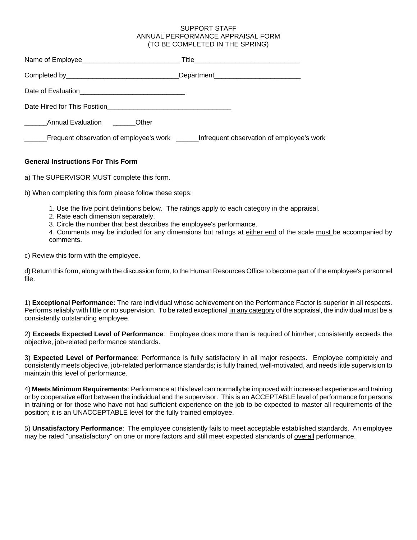## SUPPORT STAFF ANNUAL PERFORMANCE APPRAISAL FORM (TO BE COMPLETED IN THE SPRING)

|                                          | _Department____________________________                                                    |
|------------------------------------------|--------------------------------------------------------------------------------------------|
|                                          |                                                                                            |
|                                          |                                                                                            |
| Annual Evaluation <b>Community</b> Other |                                                                                            |
|                                          | Frequent observation of employee's work ________ Infrequent observation of employee's work |

## **General Instructions For This Form**

a) The SUPERVISOR MUST complete this form.

b) When completing this form please follow these steps:

- 1. Use the five point definitions below. The ratings apply to each category in the appraisal.
- 2. Rate each dimension separately.
- 3. Circle the number that best describes the employee's performance.

4. Comments may be included for any dimensions but ratings at either end of the scale must be accompanied by comments.

c) Review this form with the employee.

d) Return this form, along with the discussion form, to the Human Resources Office to become part of the employee's personnel file.

1) **Exceptional Performance:** The rare individual whose achievement on the Performance Factor is superior in all respects. Performs reliably with little or no supervision. To be rated exceptional in any category of the appraisal, the individual must be a consistently outstanding employee.

2) **Exceeds Expected Level of Performance**: Employee does more than is required of him/her; consistently exceeds the objective, job-related performance standards.

3) **Expected Level of Performance**: Performance is fully satisfactory in all major respects. Employee completely and consistently meets objective, job-related performance standards; is fully trained, well-motivated, and needs little supervision to maintain this level of performance.

4) **Meets Minimum Requirements**: Performance at this level can normally be improved with increased experience and training or by cooperative effort between the individual and the supervisor. This is an ACCEPTABLE level of performance for persons in training or for those who have not had sufficient experience on the job to be expected to master all requirements of the position; it is an UNACCEPTABLE level for the fully trained employee.

5) **Unsatisfactory Performance**: The employee consistently fails to meet acceptable established standards. An employee may be rated "unsatisfactory" on one or more factors and still meet expected standards of overall performance.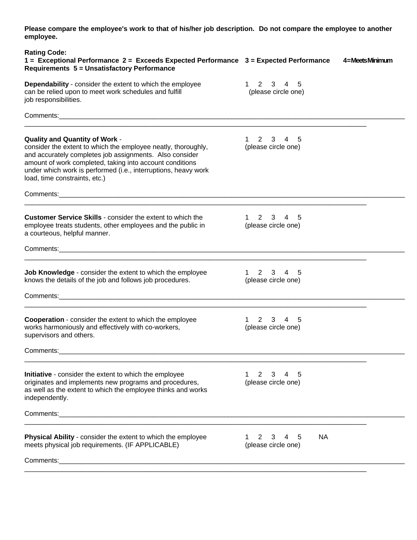**Please compare the employee's work to that of his/her job description. Do not compare the employee to another employee.**

| <b>Rating Code:</b><br>1 = Exceptional Performance 2 = Exceeds Expected Performance 3 = Expected Performance                                                                                                                                                                                                              |                                                                 | 4=MeetsMinimum |
|---------------------------------------------------------------------------------------------------------------------------------------------------------------------------------------------------------------------------------------------------------------------------------------------------------------------------|-----------------------------------------------------------------|----------------|
| <b>Requirements 5 = Unsatisfactory Performance</b>                                                                                                                                                                                                                                                                        |                                                                 |                |
| Dependability - consider the extent to which the employee<br>can be relied upon to meet work schedules and fulfill<br>job responsibilities.                                                                                                                                                                               | $1 \t2 \t3 \t4 \t5$<br>(please circle one)                      |                |
|                                                                                                                                                                                                                                                                                                                           |                                                                 |                |
| Quality and Quantity of Work -<br>consider the extent to which the employee neatly, thoroughly,<br>and accurately completes job assignments. Also consider<br>amount of work completed, taking into account conditions<br>under which work is performed (i.e., interruptions, heavy work<br>load, time constraints, etc.) | 2 3 4 5<br>1<br>(please circle one)                             |                |
|                                                                                                                                                                                                                                                                                                                           |                                                                 |                |
| <b>Customer Service Skills</b> - consider the extent to which the<br>employee treats students, other employees and the public in<br>a courteous, helpful manner.                                                                                                                                                          | 1 2 3 4 5<br>(please circle one)                                |                |
|                                                                                                                                                                                                                                                                                                                           |                                                                 |                |
| Job Knowledge - consider the extent to which the employee<br>knows the details of the job and follows job procedures.                                                                                                                                                                                                     | $2 \quad 3 \quad 4 \quad 5$<br>$1 \quad$<br>(please circle one) |                |
|                                                                                                                                                                                                                                                                                                                           |                                                                 |                |
| <b>Cooperation</b> - consider the extent to which the employee<br>works harmoniously and effectively with co-workers,<br>supervisors and others.                                                                                                                                                                          | $2^{\circ}$<br>3 4<br>5<br>1<br>(please circle one)             |                |
| Comments:                                                                                                                                                                                                                                                                                                                 |                                                                 |                |
| <b>Initiative</b> - consider the extent to which the employee<br>originates and implements new programs and procedures,<br>as well as the extent to which the employee thinks and works<br>independently.                                                                                                                 | $\overline{2}$<br>3<br>4<br>5<br>(please circle one)            |                |
|                                                                                                                                                                                                                                                                                                                           |                                                                 |                |
| Physical Ability - consider the extent to which the employee<br>meets physical job requirements. (IF APPLICABLE)                                                                                                                                                                                                          | <b>NA</b><br>2<br>5<br>3<br>4<br>(please circle one)            |                |
|                                                                                                                                                                                                                                                                                                                           |                                                                 |                |
|                                                                                                                                                                                                                                                                                                                           |                                                                 |                |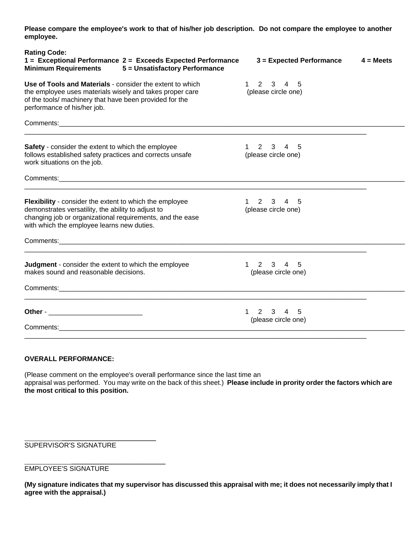**Please compare the employee's work to that of his/her job description. Do not compare the employee to another employee.** 

| <b>Rating Code:</b><br>1 = Exceptional Performance 2 = Exceeds Expected Performance<br>Minimum Requirements 5 = Unsatisfactory Performance                                                                                      | $3 =$ Expected Performance                  | $4 = Meets$ |
|---------------------------------------------------------------------------------------------------------------------------------------------------------------------------------------------------------------------------------|---------------------------------------------|-------------|
| Use of Tools and Materials - consider the extent to which<br>the employee uses materials wisely and takes proper care<br>of the tools/ machinery that have been provided for the<br>performance of his/her job.                 | 2 3 4 5<br>$1 \quad$<br>(please circle one) |             |
| Comments: 2008 2009 2009 2009 2009 2009 2010 2020 2031 2040 2051 2052 2053 2054 2055 2056 2057 2058 2059 2059                                                                                                                   |                                             |             |
| <b>Safety</b> - consider the extent to which the employee<br>follows established safety practices and corrects unsafe<br>work situations on the job.                                                                            | 2 3 4 5<br>(please circle one)              |             |
|                                                                                                                                                                                                                                 |                                             |             |
| <b>Flexibility</b> - consider the extent to which the employee<br>demonstrates versatility, the ability to adjust to<br>changing job or organizational requirements, and the ease<br>with which the employee learns new duties. | 2 3 4 5<br>(please circle one)              |             |
|                                                                                                                                                                                                                                 |                                             |             |
| Judgment - consider the extent to which the employee<br>makes sound and reasonable decisions.                                                                                                                                   | 1 2 3 4 5<br>(please circle one)            |             |
|                                                                                                                                                                                                                                 |                                             |             |
|                                                                                                                                                                                                                                 | 1 2 3 4 5<br>(please circle one)            |             |
|                                                                                                                                                                                                                                 |                                             |             |

## **OVERALL PERFORMANCE:**

(Please comment on the employee's overall performance since the last time an appraisal was performed. You may write on the back of this sheet.) **Please include in prority order the factors which are the most critical to this position.**

SUPERVISOR'S SIGNATURE

 $\overline{\phantom{a}}$  , which is a set of the set of the set of the set of the set of the set of the set of the set of the set of the set of the set of the set of the set of the set of the set of the set of the set of the set of th

 $\mathcal{L}_\text{max}$  , we can also the contract of the contract of the contract of the contract of the contract of the contract of the contract of the contract of the contract of the contract of the contract of the contract of t

EMPLOYEE'S SIGNATURE

**(My signature indicates that my supervisor has discussed this appraisal with me; it does not necessarily imply that I agree with the appraisal.)**